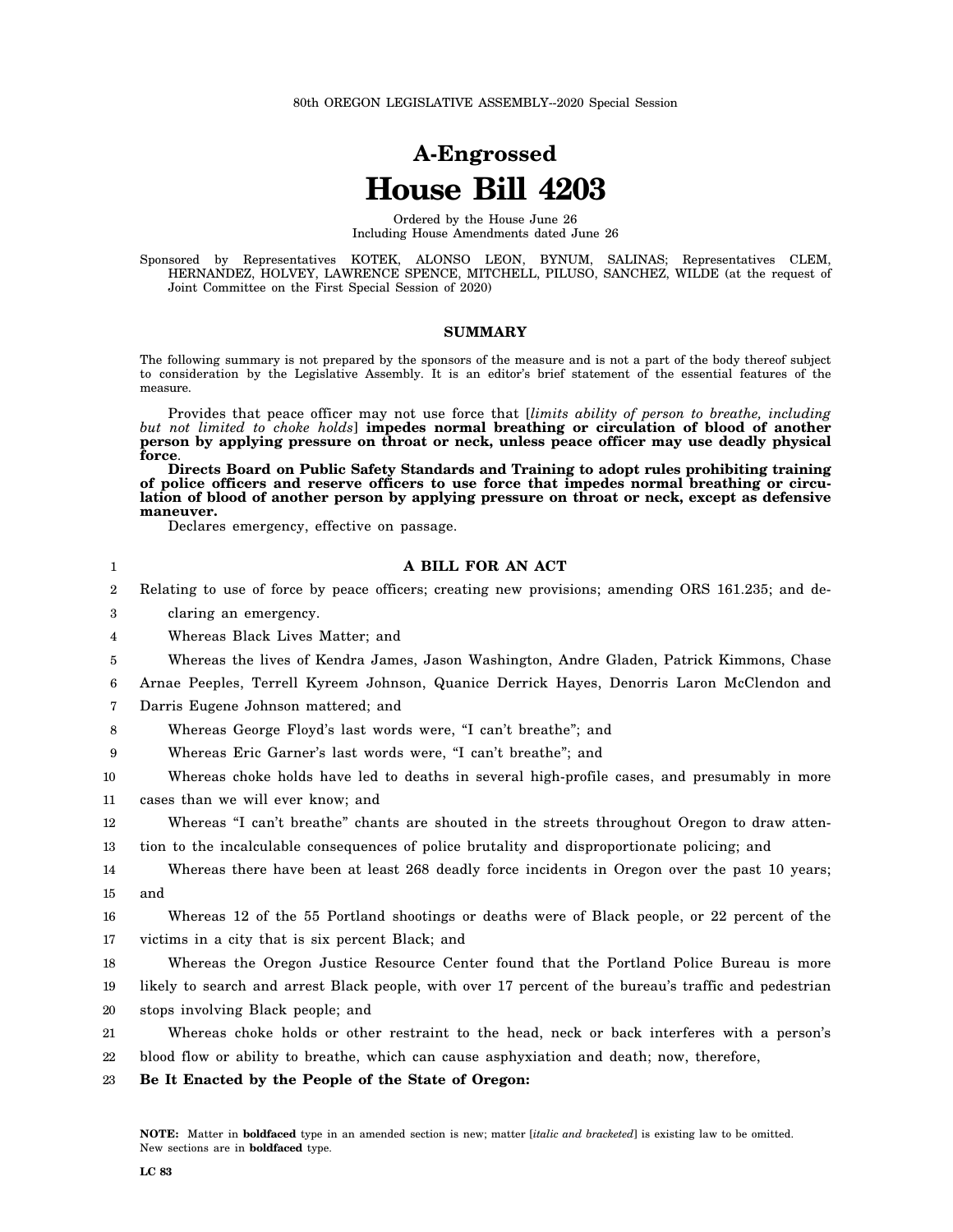## **A-Engrossed House Bill 4203**

Ordered by the House June 26 Including House Amendments dated June 26

Sponsored by Representatives KOTEK, ALONSO LEON, BYNUM, SALINAS; Representatives CLEM, HERNANDEZ, HOLVEY, LAWRENCE SPENCE, MITCHELL, PILUSO, SANCHEZ, WILDE (at the request of Joint Committee on the First Special Session of 2020)

## **SUMMARY**

The following summary is not prepared by the sponsors of the measure and is not a part of the body thereof subject to consideration by the Legislative Assembly. It is an editor's brief statement of the essential features of the measure.

Provides that peace officer may not use force that [*limits ability of person to breathe, including but not limited to choke holds*] **impedes normal breathing or circulation of blood of another person by applying pressure on throat or neck, unless peace officer may use deadly physical force**.

**Directs Board on Public Safety Standards and Training to adopt rules prohibiting training of police officers and reserve officers to use force that impedes normal breathing or circulation of blood of another person by applying pressure on throat or neck, except as defensive maneuver.**

Declares emergency, effective on passage.

## **A BILL FOR AN ACT**

2 Relating to use of force by peace officers; creating new provisions; amending ORS 161.235; and de-

3 claring an emergency.

1

- 4 Whereas Black Lives Matter; and
- 5 Whereas the lives of Kendra James, Jason Washington, Andre Gladen, Patrick Kimmons, Chase
- 6 Arnae Peeples, Terrell Kyreem Johnson, Quanice Derrick Hayes, Denorris Laron McClendon and
- 7 Darris Eugene Johnson mattered; and

8 Whereas George Floyd's last words were, "I can't breathe"; and

9 Whereas Eric Garner's last words were, "I can't breathe"; and

10 Whereas choke holds have led to deaths in several high-profile cases, and presumably in more

11 cases than we will ever know; and

12 Whereas "I can't breathe" chants are shouted in the streets throughout Oregon to draw atten-

13 tion to the incalculable consequences of police brutality and disproportionate policing; and

14 15 Whereas there have been at least 268 deadly force incidents in Oregon over the past 10 years; and

16 17 Whereas 12 of the 55 Portland shootings or deaths were of Black people, or 22 percent of the victims in a city that is six percent Black; and

18 19 Whereas the Oregon Justice Resource Center found that the Portland Police Bureau is more likely to search and arrest Black people, with over 17 percent of the bureau's traffic and pedestrian

20 stops involving Black people; and

21 22 Whereas choke holds or other restraint to the head, neck or back interferes with a person's blood flow or ability to breathe, which can cause asphyxiation and death; now, therefore,

23 **Be It Enacted by the People of the State of Oregon:**